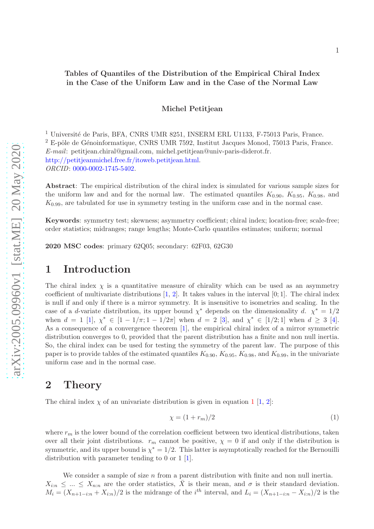#### Tables of Quantiles of the Distribution of the Empirical Chiral Index in the Case of the Uniform Law and in the Case of the Normal Law

Michel Petitjean

 $1$  Université de Paris, BFA, CNRS UMR 8251, INSERM ERL U1133, F-75013 Paris, France.  $2$  E-pôle de Génoinformatique, CNRS UMR 7592, Institut Jacques Monod, 75013 Paris, France. *E-mail*: petitjean.chiral@gmail.com, michel.petitjean@univ-paris-diderot.fr. [http://petitjeanmichel.free.fr/itoweb.petitjean.html.](http://petitjeanmichel.free.fr/itoweb.petitjean.html) *ORCID*: [0000-0002-1745-5402.](https://orcid.org/0000-0002-1745-5402)

Abstract: The empirical distribution of the chiral index is simulated for various sample sizes for the uniform law and and for the normal law. The estimated quantiles  $K_{0.90}$ ,  $K_{0.95}$ ,  $K_{0.98}$ , and  $K_{0.99}$ , are tabulated for use in symmetry testing in the uniform case and in the normal case.

Keywords: symmetry test; skewness; asymmetry coefficient; chiral index; location-free; scale-free; order statistics; midranges; range lengths; Monte-Carlo quantiles estimates; uniform; normal

2020 MSC codes: primary 62Q05; secondary: 62F03, 62G30

### 1 Introduction

The chiral index  $\chi$  is a quantitative measure of chirality which can be used as an asymmetry coefficient of multivariate distributions  $[1, 2]$  $[1, 2]$ . It takes values in the interval  $[0, 1]$ . The chiral index is null if and only if there is a mirror symmetry. It is insensitive to isometries and scaling. In the case of a *d*-variate distribution, its upper bound  $\chi^*$  depends on the dimensionality d.  $\chi^* = 1/2$ when  $d = 1$  [\[1\]](#page-12-0),  $\chi^* \in [1 - 1/\pi; 1 - 1/2\pi]$  when  $d = 2$  [\[3\]](#page-12-2), and  $\chi^* \in [1/2; 1]$  when  $d \geq 3$  [\[4\]](#page-12-3). As a consequence of a convergence theorem [\[1\]](#page-12-0), the empirical chiral index of a mirror symmetric distribution converges to 0, provided that the parent distribution has a finite and non null inertia. So, the chiral index can be used for testing the symmetry of the parent law. The purpose of this paper is to provide tables of the estimated quantiles  $K_{0.90}$ ,  $K_{0.95}$ ,  $K_{0.98}$ , and  $K_{0.99}$ , in the univariate uniform case and in the normal case.

### 2 Theory

The chiral index  $\chi$  of an univariate distribution is given in equation [1](#page-0-0) [\[1,](#page-12-0) [2\]](#page-12-1):

<span id="page-0-0"></span>
$$
\chi = (1 + r_m)/2 \tag{1}
$$

where  $r_m$  is the lower bound of the correlation coefficient between two identical distributions, taken over all their joint distributions.  $r_m$  cannot be positive,  $\chi = 0$  if and only if the distribution is symmetric, and its upper bound is  $\chi^* = 1/2$ . This latter is asymptotically reached for the Bernouilli distribution with parameter tending to 0 or 1 [\[1\]](#page-12-0).

We consider a sample of size  $n$  from a parent distribution with finite and non null inertia.  $X_{i:n} \leq ... \leq X_{n:n}$  are the order statistics,  $\overline{X}$  is their mean, and  $\sigma$  is their standard deviation.  $M_i = (X_{n+1-i:n} + X_{i:n})/2$  is the midrange of the i<sup>th</sup> interval, and  $L_i = (X_{n+1-i:n} - X_{i:n})/2$  is the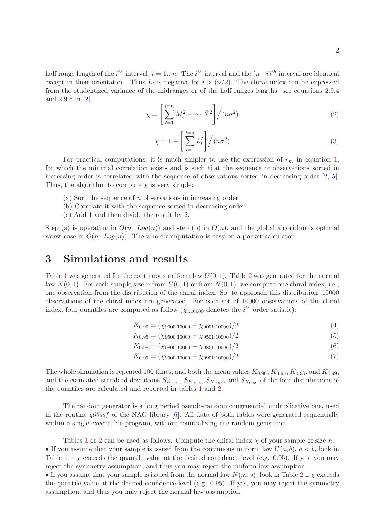half range length of the  $i^{th}$  interval,  $i = 1...n$ . The  $i^{th}$  interval and the  $(n-i)^{th}$  interval are identical except in their orientation. Thus  $L_i$  is negative for  $i > (n/2)$ . The chiral index can be expressed from the studentized variance of the midranges or of the half ranges lengths: see equations 2.9.4 and 2.9.5 in [\[2\]](#page-12-1).

$$
\chi = \left[\sum_{i=1}^{i=n} M_i^2 - n \cdot \bar{X}^2\right] / (n\sigma^2)
$$
\n(2)

$$
\chi = 1 - \left[\sum_{i=1}^{i=n} L_i^2\right] / (n\sigma^2)
$$
\n(3)

For practical computations, it is much simpler to use the expression of  $r_m$  in equation [1,](#page-0-0) for which the minimal correlation exists and is such that the sequence of observations sorted in increasing order is correlated with the sequence of observations sorted in decreasing order [\[2,](#page-12-1) [5\]](#page-12-4). Thus, the algorithm to compute  $\chi$  is very simple:

- (a) Sort the sequence of n observations in increasing order
- (b) Correlate it with the sequence sorted in decreasing order
- (c) Add 1 and then divide the result by 2.

Step (a) is operating in  $O(n \cdot Log(n))$  and step (b) in  $O(n)$ , and the global algorithm is optimal worst-case in  $O(n \cdot Log(n))$ . The whole computation is easy on a pocket calculator.

## 3 Simulations and results

Table [1](#page-2-0) was generated for the continuous uniform law  $U(0, 1)$ . Table [2](#page-7-0) was generated for the normal law  $N(0, 1)$ . For each sample size n from  $U(0, 1)$  or from  $N(0, 1)$ , we compute one chiral index, i.e., one observation from the distribution of the chiral index. So, to approach this distribution, 10000 observations of the chiral index are generated. For each set of 10000 observations of the chiral index, four quantiles are computed as follow  $(\chi_{i:10000}$  denotes the  $i<sup>th</sup>$  order satistic):

$$
K_{0.90} = (\chi_{9000:10000} + \chi_{9001:10000})/2
$$
\n(4)

$$
K_{0.95} = (\chi_{9500:10000} + \chi_{9501:10000})/2
$$
\n<sup>(5)</sup>

$$
K_{0.98} = (\chi_{9800:10000} + \chi_{9801:10000})/2
$$
\n(6)

$$
K_{0.99} = (\chi_{9900:10000} + \chi_{9901:10000})/2 \tag{7}
$$

The whole simulation is repeated 100 times, and both the mean values  $\bar{K}_{0.90}$ ,  $\bar{K}_{0.95}$ ,  $\bar{K}_{0.98}$ , and  $\bar{K}_{0.99}$ , and the estimated standard deviations  $S_{K_{0.90}}$ ,  $S_{K_{0.95}}$ ,  $S_{K_{0.98}}$ , and  $S_{K_{0.99}}$  of the four distributions of the quantiles are calculated and reported in tables [1](#page-2-0) and [2.](#page-7-0)

The random generator is a long period pseudo-random congruential multiplicative one, used in the routine  $g05saf$  of the NAG library  $[6]$ . All data of both tables were generated sequentially within a single executable program, without reinitializing the random generator.

Tables [1](#page-2-0) or [2](#page-7-0) can be used as follows. Compute the chiral index  $\chi$  of your sample of size n. • If you assume that your sample is issued from the continuous uniform law  $U(a, b)$ ,  $a < b$ , look in Table [1](#page-2-0) if  $\chi$  exceeds the quantile value at the desired confidence level (e.g. 0.95). If yes, you may reject the symmetry assumption, and thus you may reject the uniform law assumption.

• If you assume that your sample is issued from the normal law  $N(m, s)$ , look in Table [2](#page-7-0) if  $\chi$  exceeds the quantile value at the desired confidence level (e.g. 0.95). If yes, you may reject the symmetry assumption, and thus you may reject the normal law assumption.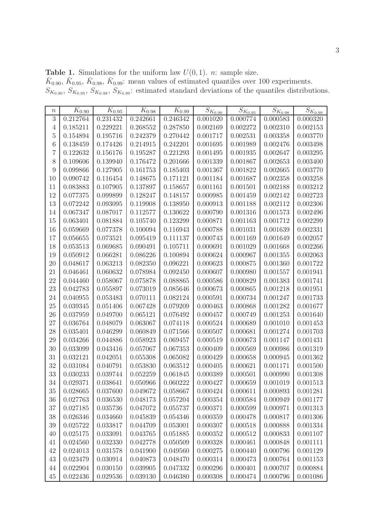<span id="page-2-0"></span>**Table 1.** Simulations for the uniform law  $U(0, 1)$ . *n*: sample size.  $\bar{K}_{0.90}, \bar{K}_{0.95}, \bar{K}_{0.98}, \bar{K}_{0.99}$ : mean values of estimated quantiles over 100 experiments.  $S_{K_{0.90}}$ ,  $S_{K_{0.95}}$ ,  $S_{K_{0.98}}$ ,  $S_{K_{0.99}}$ : estimated standard deviations of the quantiles distributions.

| $\it n$ | $K_{0.90}$ | $K_{0.95}$ | $K_{0.98}$ | $K_{0.99}$ | $\overline{S_{K_{0.90}}}$ | $S_{K_{0.95}}$ | $S_{\rm{K_{0.98}}}$ | $S_{K_{0.99}}$ |
|---------|------------|------------|------------|------------|---------------------------|----------------|---------------------|----------------|
| 3       | 0.212764   | 0.231432   | 0.242661   | 0.246342   | $\overline{0.001020}$     | 0.000774       | 0.000583            | 0.000320       |
| 4       | 0.185211   | 0.229221   | 0.268552   | 0.287850   | 0.002169                  | 0.002272       | 0.002310            | 0.002153       |
| 5       | 0.154894   | 0.195716   | 0.242379   | 0.270442   | 0.001717                  | 0.002531       | 0.003358            | 0.003770       |
| 6       | 0.138459   | 0.174426   | 0.214915   | 0.242201   | 0.001695                  | 0.001989       | 0.002476            | 0.003498       |
| 7       | 0.122632   | 0.156176   | 0.195287   | 0.221293   | 0.001495                  | 0.001935       | 0.002647            | 0.003295       |
| 8       | 0.109606   | 0.139940   | 0.176472   | 0.201666   | 0.001339                  | 0.001867       | 0.002653            | 0.003400       |
| 9       | 0.099866   | 0.127905   | 0.161753   | 0.185403   | 0.001367                  | 0.001822       | 0.002665            | 0.003770       |
| 10      | 0.090742   | 0.116454   | 0.148675   | 0.171121   | 0.001184                  | 0.001687       | 0.002358            | 0.003258       |
| 11      | 0.083883   | 0.107905   | 0.137897   | 0.158657   | 0.001161                  | 0.001501       | 0.002188            | 0.003212       |
| 12      | 0.077375   | 0.099899   | 0.128247   | 0.148157   | 0.000985                  | 0.001459       | 0.002142            | 0.002723       |
| 13      | 0.072242   | 0.093095   | 0.119908   | 0.138950   | 0.000913                  | 0.001188       | 0.002112            | 0.002306       |
| 14      | 0.067347   | 0.087017   | 0.112577   | 0.130622   | 0.000790                  | 0.001316       | 0.001573            | 0.002496       |
| 15      | 0.063401   | 0.081884   | 0.105740   | 0.123299   | 0.000871                  | 0.001163       | 0.001712            | 0.002299       |
| 16      | 0.059669   | 0.077378   | 0.100094   | 0.116943   | 0.000788                  | 0.001031       | 0.001639            | 0.002331       |
| 17      | 0.056655   | 0.073521   | 0.095419   | 0.111137   | 0.000743                  | 0.001169       | 0.001649            | 0.002057       |
| 18      | 0.053513   | 0.069685   | 0.090491   | 0.105711   | 0.000691                  | 0.001029       | 0.001668            | 0.002266       |
| 19      | 0.050912   | 0.066281   | 0.086226   | 0.100894   | 0.000624                  | 0.000967       | 0.001355            | 0.002063       |
| 20      | 0.048617   | 0.063213   | 0.082350   | 0.096221   | 0.000623                  | 0.000875       | 0.001360            | 0.001722       |
| 21      | 0.046461   | 0.060632   | 0.078984   | 0.092450   | 0.000607                  | 0.000980       | 0.001557            | 0.001941       |
| 22      | 0.044460   | 0.058067   | 0.075878   | 0.088865   | 0.000586                  | 0.000829       | 0.001383            | 0.001741       |
| 23      | 0.042783   | 0.055897   | 0.073019   | 0.085646   | 0.000673                  | 0.000865       | 0.001218            | 0.001951       |
| 24      | 0.040955   | 0.053483   | 0.070111   | 0.082124   | 0.000591                  | 0.000734       | 0.001247            | 0.001733       |
| 25      | 0.039345   | 0.051406   | 0.067428   | 0.079209   | 0.000463                  | 0.000868       | 0.001282            | 0.001677       |
| 26      | 0.037959   | 0.049700   | 0.065121   | 0.076492   | 0.000457                  | 0.000749       | 0.001253            | 0.001640       |
| 27      | 0.036764   | 0.048079   | 0.063067   | 0.074118   | 0.000524                  | 0.000689       | 0.001010            | 0.001453       |
| 28      | 0.035401   | 0.046299   | 0.060849   | 0.071566   | 0.000507                  | 0.000681       | 0.001274            | 0.001703       |
| 29      | 0.034266   | 0.044886   | 0.058923   | 0.069457   | 0.000519                  | 0.000673       | 0.001147            | 0.001431       |
| 30      | 0.033099   | 0.043416   | 0.057067   | 0.067353   | 0.000409                  | 0.000569       | 0.000986            | 0.001319       |
| 31      | 0.032121   | 0.042051   | 0.055308   | 0.065082   | 0.000429                  | 0.000658       | 0.000945            | 0.001362       |
| 32      | 0.031084   | 0.040791   | 0.053830   | 0.063512   | 0.000405                  | 0.000621       | 0.001171            | 0.001500       |
| 33      | 0.030233   | 0.039744   | 0.052259   | 0.061845   | 0.000389                  | 0.000501       | 0.000990            | 0.001308       |
| 34      | 0.029371   | 0.038641   | 0.050966   | 0.060222   | 0.000427                  | 0.000659       | 0.001019            | 0.001513       |
| $35\,$  | 0.028665   | 0.037600   | 0.049672   | 0.058667   | 0.000424                  | 0.000611       | 0.000893            | 0.001281       |
| $36\,$  | 0.027763   | 0.036530   | 0.048173   | 0.057204   | 0.000354                  | 0.000584       | 0.000949            | 0.001177       |
| 37      | 0.027185   | 0.035736   | 0.047072   | 0.055737   | 0.000371                  | 0.000599       | 0.000971            | 0.001313       |
| $38\,$  | 0.026346   | 0.034660   | 0.045839   | 0.054346   | 0.000359                  | 0.000478       | 0.000817            | 0.001306       |
| $39\,$  | 0.025722   | 0.033817   | 0.044709   | 0.053001   | 0.000307                  | 0.000518       | 0.000888            | 0.001334       |
| 40      | 0.025175   | 0.033091   | 0.043765   | 0.051885   | 0.000352                  | 0.000512       | 0.000833            | 0.001107       |
| 41      | 0.024560   | 0.032330   | 0.042778   | 0.050509   | 0.000328                  | 0.000461       | 0.000848            | 0.001111       |
| 42      | 0.024013   | 0.031578   | 0.041900   | 0.049560   | 0.000275                  | 0.000440       | 0.000796            | 0.001129       |
| $43\,$  | 0.023479   | 0.030914   | 0.040873   | 0.048470   | 0.000314                  | 0.000473       | 0.000764            | 0.001153       |
| 44      | 0.022904   | 0.030150   | 0.039905   | 0.047332   | 0.000296                  | 0.000401       | 0.000707            | 0.000884       |
| 45      | 0.022436   | 0.029536   | 0.039130   | 0.046380   | 0.000308                  | 0.000474       | 0.000796            | 0.001086       |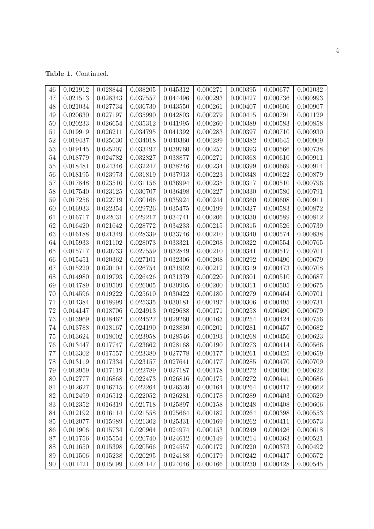Table 1. Continued.

| 46     | 0.021912 | 0.028844 | 0.038205 | 0.045312 | 0.000271 | 0.000395 | 0.000677 | 0.001032 |
|--------|----------|----------|----------|----------|----------|----------|----------|----------|
| 47     | 0.021513 | 0.028343 | 0.037557 | 0.044496 | 0.000293 | 0.000427 | 0.000736 | 0.000993 |
| 48     | 0.021034 | 0.027734 | 0.036730 | 0.043550 | 0.000261 | 0.000407 | 0.000606 | 0.000907 |
| 49     | 0.020630 | 0.027197 | 0.035990 | 0.042803 | 0.000279 | 0.000415 | 0.000791 | 0.001129 |
| 50     | 0.020233 | 0.026654 | 0.035312 | 0.041995 | 0.000260 | 0.000389 | 0.000583 | 0.000858 |
| 51     | 0.019919 | 0.026211 | 0.034795 | 0.041392 | 0.000283 | 0.000397 | 0.000710 | 0.000930 |
| 52     | 0.019437 | 0.025630 | 0.034018 | 0.040360 | 0.000289 | 0.000382 | 0.000645 | 0.000909 |
| 53     | 0.019145 | 0.025207 | 0.033497 | 0.039760 | 0.000257 | 0.000393 | 0.000566 | 0.000738 |
| 54     | 0.018779 | 0.024782 | 0.032827 | 0.038877 | 0.000271 | 0.000368 | 0.000610 | 0.000911 |
| $55\,$ | 0.018481 | 0.024346 | 0.032247 | 0.038246 | 0.000234 | 0.000399 | 0.000669 | 0.000914 |
| 56     | 0.018195 | 0.023973 | 0.031819 | 0.037913 | 0.000223 | 0.000348 | 0.000622 | 0.000879 |
| 57     | 0.017848 | 0.023510 | 0.031156 | 0.036994 | 0.000235 | 0.000317 | 0.000510 | 0.000796 |
| 58     | 0.017540 | 0.023125 | 0.030707 | 0.036498 | 0.000227 | 0.000330 | 0.000580 | 0.000791 |
| 59     | 0.017256 | 0.022719 | 0.030166 | 0.035924 | 0.000244 | 0.000360 | 0.000608 | 0.000911 |
| 60     | 0.016933 | 0.022354 | 0.029726 | 0.035475 | 0.000199 | 0.000327 | 0.000583 | 0.000872 |
| 61     | 0.016717 | 0.022031 | 0.029217 | 0.034741 | 0.000206 | 0.000330 | 0.000589 | 0.000812 |
| 62     | 0.016420 | 0.021642 | 0.028772 | 0.034233 | 0.000215 | 0.000315 | 0.000526 | 0.000739 |
| 63     | 0.016188 | 0.021349 | 0.028339 | 0.033746 | 0.000210 | 0.000340 | 0.000574 | 0.000838 |
| 64     | 0.015933 | 0.021102 | 0.028073 | 0.033321 | 0.000208 | 0.000322 | 0.000554 | 0.000765 |
| 65     | 0.015717 | 0.020733 | 0.027559 | 0.032849 | 0.000210 | 0.000341 | 0.000517 | 0.000701 |
| 66     | 0.015451 | 0.020362 | 0.027101 | 0.032306 | 0.000208 | 0.000292 | 0.000490 | 0.000679 |
| 67     | 0.015220 | 0.020104 | 0.026754 | 0.031902 | 0.000212 | 0.000319 | 0.000473 | 0.000708 |
| 68     | 0.014980 | 0.019793 | 0.026426 | 0.031379 | 0.000220 | 0.000301 | 0.000510 | 0.000687 |
| 69     | 0.014789 | 0.019509 | 0.026005 | 0.030905 | 0.000200 | 0.000311 | 0.000505 | 0.000675 |
| 70     | 0.014596 | 0.019222 | 0.025610 | 0.030422 | 0.000180 | 0.000279 | 0.000464 | 0.000701 |
| 71     | 0.014384 | 0.018999 | 0.025335 | 0.030181 | 0.000197 | 0.000306 | 0.000495 | 0.000731 |
| 72     | 0.014147 | 0.018706 | 0.024913 | 0.029688 | 0.000171 | 0.000258 | 0.000490 | 0.000679 |
| 73     | 0.013969 | 0.018462 | 0.024527 | 0.029260 | 0.000163 | 0.000254 | 0.000424 | 0.000756 |
| 74     | 0.013788 | 0.018167 | 0.024190 | 0.028830 | 0.000201 | 0.000281 | 0.000457 | 0.000682 |
| 75     | 0.013624 | 0.018002 | 0.023958 | 0.028546 | 0.000193 | 0.000268 | 0.000456 | 0.000623 |
| 76     | 0.013447 | 0.017747 | 0.023662 | 0.028168 | 0.000190 | 0.000273 | 0.000414 | 0.000566 |
| 77     | 0.013302 | 0.017557 | 0.023380 | 0.027778 | 0.000177 | 0.000261 | 0.000425 | 0.000659 |
| 78     | 0.013119 | 0.017334 | 0.023157 | 0.027641 | 0.000177 | 0.000285 | 0.000470 | 0.000709 |
| 79     | 0.012959 | 0.017119 | 0.022789 | 0.027187 | 0.000178 | 0.000272 | 0.000400 | 0.000622 |
| 80     | 0.012777 | 0.016868 | 0.022473 | 0.026816 | 0.000175 | 0.000272 | 0.000441 | 0.000686 |
| 81     | 0.012627 | 0.016715 | 0.022264 | 0.026520 | 0.000164 | 0.000264 | 0.000417 | 0.000662 |
| 82     | 0.012499 | 0.016512 | 0.022052 | 0.026281 | 0.000178 | 0.000289 | 0.000403 | 0.000529 |
| 83     | 0.012352 | 0.016319 | 0.021718 | 0.025897 | 0.000158 | 0.000248 | 0.000408 | 0.000606 |
| 84     | 0.012192 | 0.016114 | 0.021558 | 0.025664 | 0.000182 | 0.000264 | 0.000398 | 0.000553 |
| 85     | 0.012077 | 0.015989 | 0.021302 | 0.025331 | 0.000169 | 0.000262 | 0.000411 | 0.000573 |
| 86     | 0.011906 | 0.015734 | 0.020964 | 0.024974 | 0.000153 | 0.000249 | 0.000426 | 0.000618 |
| 87     | 0.011756 | 0.015554 | 0.020740 | 0.024612 | 0.000149 | 0.000214 | 0.000363 | 0.000521 |
| 88     | 0.011650 | 0.015398 | 0.020566 | 0.024557 | 0.000172 | 0.000220 | 0.000373 | 0.000492 |
| 89     | 0.011506 | 0.015238 | 0.020295 | 0.024188 | 0.000179 | 0.000242 | 0.000417 | 0.000572 |
| 90     | 0.011421 | 0.015099 | 0.020147 | 0.024046 | 0.000166 | 0.000230 | 0.000428 | 0.000545 |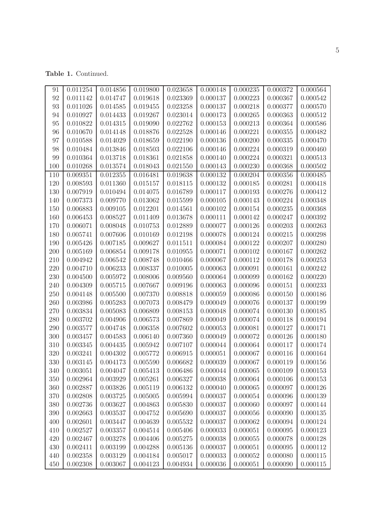Table 1. Continued.

| 91  | 0.011254 | 0.014856 | 0.019800 | 0.023658 | 0.000148 | 0.000235 | 0.000372 | 0.000564 |
|-----|----------|----------|----------|----------|----------|----------|----------|----------|
| 92  | 0.011142 | 0.014747 | 0.019618 | 0.023369 | 0.000137 | 0.000223 | 0.000367 | 0.000542 |
| 93  | 0.011026 | 0.014585 | 0.019455 | 0.023258 | 0.000137 | 0.000218 | 0.000377 | 0.000570 |
| 94  | 0.010927 | 0.014433 | 0.019267 | 0.023014 | 0.000173 | 0.000265 | 0.000363 | 0.000512 |
| 95  | 0.010822 | 0.014315 | 0.019090 | 0.022762 | 0.000153 | 0.000213 | 0.000364 | 0.000586 |
| 96  | 0.010670 | 0.014148 | 0.018876 | 0.022528 | 0.000146 | 0.000221 | 0.000355 | 0.000482 |
| 97  | 0.010588 | 0.014029 | 0.018659 | 0.022190 | 0.000136 | 0.000200 | 0.000335 | 0.000470 |
| 98  | 0.010484 | 0.013846 | 0.018503 | 0.022106 | 0.000146 | 0.000224 | 0.000319 | 0.000460 |
| 99  | 0.010364 | 0.013718 | 0.018361 | 0.021858 | 0.000140 | 0.000224 | 0.000321 | 0.000513 |
| 100 | 0.010268 | 0.013574 | 0.018043 | 0.021550 | 0.000143 | 0.000230 | 0.000368 | 0.000502 |
| 110 | 0.009351 | 0.012355 | 0.016481 | 0.019638 | 0.000132 | 0.000204 | 0.000356 | 0.000485 |
| 120 | 0.008593 | 0.011360 | 0.015157 | 0.018115 | 0.000132 | 0.000185 | 0.000281 | 0.000418 |
| 130 | 0.007919 | 0.010494 | 0.014075 | 0.016789 | 0.000117 | 0.000193 | 0.000276 | 0.000412 |
| 140 | 0.007373 | 0.009770 | 0.013062 | 0.015599 | 0.000105 | 0.000143 | 0.000224 | 0.000348 |
| 150 | 0.006883 | 0.009105 | 0.012201 | 0.014561 | 0.000102 | 0.000154 | 0.000235 | 0.000368 |
| 160 | 0.006453 | 0.008527 | 0.011409 | 0.013678 | 0.000111 | 0.000142 | 0.000247 | 0.000392 |
| 170 | 0.006071 | 0.008048 | 0.010753 | 0.012889 | 0.000077 | 0.000126 | 0.000203 | 0.000263 |
| 180 | 0.005741 | 0.007606 | 0.010169 | 0.012198 | 0.000078 | 0.000124 | 0.000215 | 0.000298 |
| 190 | 0.005426 | 0.007185 | 0.009627 | 0.011511 | 0.000084 | 0.000122 | 0.000207 | 0.000280 |
| 200 | 0.005169 | 0.006854 | 0.009178 | 0.010955 | 0.000071 | 0.000102 | 0.000167 | 0.000262 |
| 210 | 0.004942 | 0.006542 | 0.008748 | 0.010466 | 0.000067 | 0.000112 | 0.000178 | 0.000253 |
| 220 | 0.004710 | 0.006233 | 0.008337 | 0.010005 | 0.000063 | 0.000091 | 0.000161 | 0.000242 |
| 230 | 0.004500 | 0.005972 | 0.008006 | 0.009560 | 0.000064 | 0.000099 | 0.000162 | 0.000220 |
| 240 | 0.004309 | 0.005715 | 0.007667 | 0.009196 | 0.000063 | 0.000096 | 0.000151 | 0.000233 |
| 250 | 0.004148 | 0.005500 | 0.007370 | 0.008818 | 0.000059 | 0.000086 | 0.000150 | 0.000186 |
| 260 | 0.003986 | 0.005283 | 0.007073 | 0.008479 | 0.000049 | 0.000076 | 0.000137 | 0.000199 |
| 270 | 0.003834 | 0.005083 | 0.006809 | 0.008153 | 0.000048 | 0.000074 | 0.000130 | 0.000185 |
| 280 | 0.003702 | 0.004906 | 0.006573 | 0.007869 | 0.000049 | 0.000074 | 0.000118 | 0.000194 |
| 290 | 0.003577 | 0.004748 | 0.006358 | 0.007602 | 0.000053 | 0.000081 | 0.000127 | 0.000171 |
| 300 | 0.003457 | 0.004583 | 0.006140 | 0.007360 | 0.000049 | 0.000072 | 0.000126 | 0.000180 |
| 310 | 0.003345 | 0.004435 | 0.005942 | 0.007107 | 0.000044 | 0.000064 | 0.000117 | 0.000174 |
| 320 | 0.003241 | 0.004302 | 0.005772 | 0.006915 | 0.000051 | 0.000067 | 0.000116 | 0.000164 |
| 330 | 0.003145 | 0.004173 | 0.005590 | 0.006682 | 0.000039 | 0.000067 | 0.000119 | 0.000156 |
| 340 | 0.003051 | 0.004047 | 0.005413 | 0.006486 | 0.000044 | 0.000065 | 0.000109 | 0.000153 |
| 350 | 0.002964 | 0.003929 | 0.005261 | 0.006327 | 0.000038 | 0.000064 | 0.000106 | 0.000153 |
| 360 | 0.002887 | 0.003826 | 0.005119 | 0.006132 | 0.000040 | 0.000065 | 0.000097 | 0.000126 |
| 370 | 0.002808 | 0.003725 | 0.005005 | 0.005994 | 0.000037 | 0.000054 | 0.000096 | 0.000139 |
| 380 | 0.002736 | 0.003627 | 0.004863 | 0.005830 | 0.000037 | 0.000060 | 0.000097 | 0.000144 |
| 390 | 0.002663 | 0.003537 | 0.004752 | 0.005690 | 0.000037 | 0.000056 | 0.000090 | 0.000135 |
| 400 | 0.002601 | 0.003447 | 0.004639 | 0.005532 | 0.000037 | 0.000062 | 0.000094 | 0.000124 |
| 410 | 0.002527 | 0.003357 | 0.004514 | 0.005406 | 0.000033 | 0.000051 | 0.000095 | 0.000123 |
| 420 | 0.002467 | 0.003278 | 0.004406 | 0.005275 | 0.000038 | 0.000055 | 0.000078 | 0.000128 |
| 430 | 0.002411 | 0.003199 | 0.004288 | 0.005136 | 0.000037 | 0.000051 | 0.000095 | 0.000112 |
| 440 | 0.002358 | 0.003129 | 0.004184 | 0.005017 | 0.000033 | 0.000052 | 0.000080 | 0.000115 |
| 450 | 0.002308 | 0.003067 | 0.004123 | 0.004934 | 0.000036 | 0.000051 | 0.000090 | 0.000115 |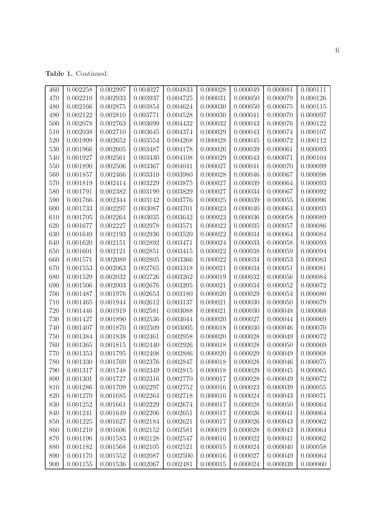Table 1. Continued.

| 460 | 0.002258 | 0.002997 | 0.004027 | 0.004833 | 0.000028 | 0.000049 | 0.000081 | 0.000111 |
|-----|----------|----------|----------|----------|----------|----------|----------|----------|
| 470 | 0.002210 | 0.002933 | 0.003937 | 0.004725 | 0.000031 | 0.000050 | 0.000079 | 0.000126 |
| 480 | 0.002166 | 0.002875 | 0.003854 | 0.004624 | 0.000030 | 0.000050 | 0.000075 | 0.000115 |
| 490 | 0.002122 | 0.002810 | 0.003771 | 0.004528 | 0.000030 | 0.000041 | 0.000070 | 0.000097 |
| 500 | 0.002078 | 0.002763 | 0.003699 | 0.004432 | 0.000032 | 0.000043 | 0.000076 | 0.000122 |
| 510 | 0.002038 | 0.002710 | 0.003645 | 0.004374 | 0.000029 | 0.000043 | 0.000074 | 0.000107 |
| 520 | 0.001999 | 0.002652 | 0.003554 | 0.004268 | 0.000028 | 0.000045 | 0.000072 | 0.000112 |
| 530 | 0.001966 | 0.002605 | 0.003487 | 0.004178 | 0.000026 | 0.000039 | 0.000061 | 0.000093 |
| 540 | 0.001927 | 0.002561 | 0.003430 | 0.004108 | 0.000029 | 0.000043 | 0.000071 | 0.000104 |
| 550 | 0.001890 | 0.002506 | 0.003367 | 0.004041 | 0.000027 | 0.000041 | 0.000070 | 0.000099 |
| 560 | 0.001857 | 0.002466 | 0.003310 | 0.003980 | 0.000028 | 0.000046 | 0.000067 | 0.000098 |
| 570 | 0.001819 | 0.002414 | 0.003229 | 0.003875 | 0.000027 | 0.000039 | 0.000064 | 0.000093 |
| 580 | 0.001791 | 0.002382 | 0.003199 | 0.003829 | 0.000027 | 0.000034 | 0.000067 | 0.000092 |
| 590 | 0.001766 | 0.002344 | 0.003142 | 0.003776 | 0.000025 | 0.000039 | 0.000055 | 0.000096 |
| 600 | 0.001733 | 0.002297 | 0.003087 | 0.003701 | 0.000023 | 0.000040 | 0.000064 | 0.000093 |
| 610 | 0.001705 | 0.002264 | 0.003035 | 0.003642 | 0.000023 | 0.000036 | 0.000058 | 0.000089 |
| 620 | 0.001677 | 0.002227 | 0.002978 | 0.003571 | 0.000022 | 0.000035 | 0.000057 | 0.000086 |
| 630 | 0.001649 | 0.002193 | 0.002936 | 0.003520 | 0.000022 | 0.000034 | 0.000064 | 0.000084 |
| 640 | 0.001620 | 0.002151 | 0.002892 | 0.003471 | 0.000024 | 0.000033 | 0.000058 | 0.000093 |
| 650 | 0.001601 | 0.002121 | 0.002851 | 0.003415 | 0.000022 | 0.000038 | 0.000059 | 0.000094 |
| 660 | 0.001571 | 0.002089 | 0.002805 | 0.003366 | 0.000022 | 0.000034 | 0.000053 | 0.000083 |
| 670 | 0.001553 | 0.002063 | 0.002765 | 0.003318 | 0.000021 | 0.000034 | 0.000051 | 0.000081 |
| 680 | 0.001529 | 0.002032 | 0.002726 | 0.003262 | 0.000019 | 0.000032 | 0.000056 | 0.000084 |
| 690 | 0.001506 | 0.002003 | 0.002676 | 0.003205 | 0.000021 | 0.000034 | 0.000052 | 0.000072 |
| 700 | 0.001487 | 0.001976 | 0.002653 | 0.003180 | 0.000020 | 0.000029 | 0.000054 | 0.000080 |
| 710 | 0.001465 | 0.001944 | 0.002612 | 0.003137 | 0.000021 | 0.000030 | 0.000050 | 0.000079 |
| 720 | 0.001446 | 0.001919 | 0.002581 | 0.003088 | 0.000021 | 0.000030 | 0.000048 | 0.000068 |
| 730 | 0.001427 | 0.001890 | 0.002536 | 0.003044 | 0.000020 | 0.000027 | 0.000044 | 0.000069 |
| 740 | 0.001407 | 0.001870 | 0.002509 | 0.003005 | 0.000018 | 0.000030 | 0.000046 | 0.000070 |
| 750 | 0.001384 | 0.001838 | 0.002461 | 0.002958 | 0.000020 | 0.000028 | 0.000049 | 0.000072 |
| 760 | 0.001365 | 0.001815 | 0.002440 | 0.002926 | 0.000018 | 0.000028 | 0.000050 | 0.000069 |
| 770 | 0.001353 | 0.001795 | 0.002408 | 0.002886 | 0.000020 | 0.000029 | 0.000049 | 0.000068 |
| 780 | 0.001330 | 0.001769 | 0.002376 | 0.002847 | 0.000018 | 0.000028 | 0.000046 | 0.000075 |
| 790 | 0.001317 | 0.001748 | 0.002349 | 0.002815 | 0.000018 | 0.000029 | 0.000045 | 0.000065 |
| 800 | 0.001301 | 0.001727 | 0.002316 | 0.002770 | 0.000017 | 0.000028 | 0.000049 | 0.000072 |
| 810 | 0.001286 | 0.001709 | 0.002297 | 0.002752 | 0.000016 | 0.000023 | 0.000039 | 0.000055 |
| 820 | 0.001270 | 0.001685 | 0.002264 | 0.002718 | 0.000016 | 0.000024 | 0.000043 | 0.000071 |
| 830 | 0.001252 | 0.001661 | 0.002229 | 0.002674 | 0.000017 | 0.000028 | 0.000050 | 0.000064 |
| 840 | 0.001241 | 0.001649 | 0.002206 | 0.002651 | 0.000017 | 0.000026 | 0.000041 | 0.000064 |
| 850 | 0.001225 | 0.001627 | 0.002184 | 0.002621 | 0.000017 | 0.000026 | 0.000043 | 0.000062 |
| 860 | 0.001210 | 0.001606 | 0.002152 | 0.002581 | 0.000019 | 0.000028 | 0.000043 | 0.000064 |
| 870 | 0.001196 | 0.001583 | 0.002128 | 0.002547 | 0.000016 | 0.000022 | 0.000041 | 0.000062 |
| 880 | 0.001182 | 0.001568 | 0.002105 | 0.002521 | 0.000015 | 0.000024 | 0.000040 | 0.000058 |
| 890 | 0.001170 | 0.001552 | 0.002087 | 0.002500 | 0.000016 | 0.000027 | 0.000049 | 0.000064 |
| 900 | 0.001155 | 0.001536 | 0.002067 | 0.002481 | 0.000015 | 0.000024 | 0.000039 | 0.000060 |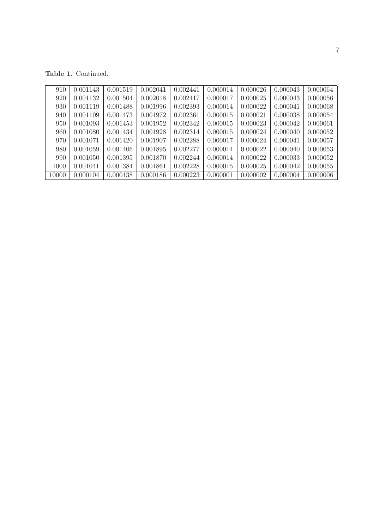Table 1. Continued.

| 910   | 0.001143 | 0.001519 | 0.002041 | 0.002441 | 0.000014 | 0.000026 | 0.000043 | 0.000064 |
|-------|----------|----------|----------|----------|----------|----------|----------|----------|
|       |          |          |          |          |          |          |          |          |
| 920   | 0.001132 | 0.001504 | 0.002018 | 0.002417 | 0.000017 | 0.000025 | 0.000043 | 0.000056 |
| 930   | 0.001119 | 0.001488 | 0.001996 | 0.002393 | 0.000014 | 0.000022 | 0.000041 | 0.000068 |
| 940   | 0.001109 | 0.001473 | 0.001972 | 0.002361 | 0.000015 | 0.000021 | 0.000038 | 0.000054 |
| 950   | 0.001093 | 0.001453 | 0.001952 | 0.002342 | 0.000015 | 0.000023 | 0.000042 | 0.000061 |
| 960   | 0.001080 | 0.001434 | 0.001928 | 0.002314 | 0.000015 | 0.000024 | 0.000040 | 0.000052 |
| 970   | 0.001071 | 0.001420 | 0.001907 | 0.002288 | 0.000017 | 0.000024 | 0.000041 | 0.000057 |
| 980   | 0.001059 | 0.001406 | 0.001895 | 0.002277 | 0.000014 | 0.000022 | 0.000040 | 0.000053 |
| 990   | 0.001050 | 0.001395 | 0.001870 | 0.002244 | 0.000014 | 0.000022 | 0.000033 | 0.000052 |
| 1000  | 0.001041 | 0.001384 | 0.001861 | 0.002228 | 0.000015 | 0.000025 | 0.000042 | 0.000055 |
| 10000 | 0.000104 | 0.000138 | 0.000186 | 0.000223 | 0.000001 | 0.000002 | 0.000004 | 0.000006 |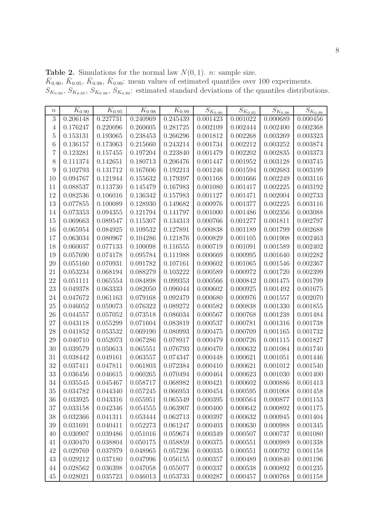<span id="page-7-0"></span>**Table 2.** Simulations for the normal law  $N(0, 1)$ . *n*: sample size.  $\bar{K}_{0.90}, \bar{K}_{0.95}, \bar{K}_{0.98}, \bar{K}_{0.99}$ : mean values of estimated quantiles over 100 experiments.  $S_{K_{0.90}}$ ,  $S_{K_{0.95}}$ ,  $S_{K_{0.98}}$ ,  $S_{K_{0.99}}$ : estimated standard deviations of the quantiles distributions.

| $\, n \,$      | $K_{0.90}$ | $K_{0.95}$ | $K_{0.98}$   | $K_{0.99}$ | $\overline{S}_{K_{0.90}}$ | $S_{\underline{K_{0.95}}}$ | $S_{K_{0.98}}$ | $S_{\underline{K_{0.99}}}$ |
|----------------|------------|------------|--------------|------------|---------------------------|----------------------------|----------------|----------------------------|
| 3              | 0.206148   | 0.227731   | 0.240969     | 0.245439   | 0.001423                  | 0.001022                   | 0.000689       | 0.000456                   |
| 4              | 0.176247   | 0.220096   | 0.260605     | 0.281725   | 0.002109                  | 0.002444                   | 0.002400       | 0.002368                   |
| $\overline{5}$ | 0.153131   | 0.193065   | 0.238453     | 0.266296   | 0.001812                  | 0.002268                   | 0.003269       | 0.003323                   |
| 6              | 0.136157   | 0.173063   | 0.215660     | 0.243214   | 0.001734                  | 0.002212                   | 0.003252       | 0.003874                   |
| 7              | 0.123281   | 0.157455   | 0.197204     | 0.223840   | 0.001479                  | 0.002202                   | 0.002835       | 0.003373                   |
| 8              | 0.111374   | 0.142651   | 0.180713     | 0.206476   | 0.001447                  | 0.001952                   | 0.003128       | 0.003745                   |
| 9              | 0.102793   | 0.131712   | 0.167606     | 0.192213   | 0.001246                  | 0.001594                   | 0.002683       | 0.003199                   |
| 10             | 0.094767   | 0.121944   | 0.155632     | 0.179397   | 0.001168                  | 0.001666                   | 0.002249       | 0.003116                   |
| 11             | 0.088537   | 0.113730   | 0.145479     | 0.167983   | 0.001080                  | 0.001417                   | 0.002225       | 0.003192                   |
| 12             | 0.082536   | 0.106016   | 0.136342     | 0.157983   | 0.001127                  | 0.001471                   | 0.002004       | 0.002733                   |
| 13             | 0.077855   | 0.100089   | 0.128930     | 0.149682   | 0.000976                  | 0.001377                   | 0.002225       | 0.003116                   |
| 14             | 0.073353   | 0.094355   | 0.121794     | 0.141797   | 0.001000                  | 0.001486                   | 0.002356       | 0.003088                   |
| 15             | 0.069663   | 0.089547   | 0.115307     | 0.134313   | 0.000766                  | 0.001277                   | 0.001811       | 0.002797                   |
| 16             | 0.065954   | 0.084925   | 0.109532     | 0.127891   | 0.000838                  | 0.001189                   | 0.001799       | 0.002688                   |
| 17             | 0.063034   | 0.080967   | 0.104286     | 0.121876   | 0.000829                  | 0.001105                   | 0.001908       | 0.002463                   |
| 18             | 0.060037   | 0.077133   | 0.100098     | 0.116555   | 0.000719                  | 0.001091                   | 0.001589       | 0.002402                   |
| 19             | 0.057690   | 0.074178   | 0.095784     | 0.111988   | 0.000669                  | 0.000995                   | 0.001640       | 0.002282                   |
| 20             | 0.055160   | 0.070931   | 0.091782     | 0.107161   | 0.000602                  | 0.001065                   | 0.001546       | 0.002367                   |
| 21             | 0.053234   | 0.068194   | 0.088279     | 0.103222   | 0.000589                  | 0.000972                   | 0.001720       | 0.002399                   |
| 22             | 0.051111   | 0.065554   | 0.084898     | 0.099353   | 0.000566                  | 0.000842                   | 0.001475       | 0.001799                   |
| 23             | 0.049378   | 0.063333   | 0.082050     | 0.096044   | 0.000602                  | 0.000925                   | 0.001492       | 0.001675                   |
| 24             | 0.047672   | 0.061163   | 0.079168     | 0.092479   | 0.000680                  | 0.000976                   | 0.001557       | 0.002070                   |
| 25             | 0.046052   | 0.059073   | 0.076322     | 0.089272   | 0.000582                  | 0.000838                   | 0.001330       | 0.001855                   |
| 26             | 0.044557   | 0.057052   | 0.073518     | 0.086034   | 0.000567                  | 0.000768                   | 0.001238       | 0.001484                   |
| 27             | 0.043118   | 0.055299   | 0.071604     | 0.083819   | 0.000537                  | 0.000781                   | 0.001316       | 0.001738                   |
| 28             | 0.041852   | 0.053532   | 0.069190     | 0.080993   | 0.000475                  | 0.000709                   | 0.001165       | 0.001732                   |
| 29             | 0.040710   | 0.052073   | 0.067286     | 0.078917   | 0.000479                  | 0.000726                   | 0.001115       | 0.001827                   |
| 30             | 0.039579   | 0.050613   | 0.065551     | 0.076793   | 0.000470                  | 0.000632                   | 0.001084       | 0.001740                   |
| 31             | 0.038442   | 0.049161   | 0.063557     | 0.074347   | 0.000448                  | 0.000621                   | 0.001051       | 0.001446                   |
| 32             | 0.037411   | 0.047811   | 0.061803     | 0.072384   | 0.000410                  | 0.000621                   | 0.001012       | 0.001540                   |
| 33             | 0.036456   | 0.046615   | 0.060265     | 0.070494   | 0.000464                  | 0.000623                   | 0.001030       | 0.001400                   |
| 34             | 0.035545   | 0.045467   | 0.058717     | 0.068982   | 0.000421                  | 0.000602                   | 0.000886       | 0.001413                   |
| 35             | 0.034782   | 0.044340   | 0.057245     | 0.066953   | 0.000454                  | 0.000595                   | 0.001068       | 0.001458                   |
| $36\,$         | 0.033925   | 0.043316   | 0.055951     | 0.065549   | 0.000395                  | 0.000564                   | 0.000877       | 0.001153                   |
| 37             | 0.033158   | 0.042346   | 0.054555     | 0.063907   | 0.000400                  | 0.000642                   | 0.000892       | 0.001175                   |
| $38\,$         | 0.032366   | 0.041311   | 0.053444     | 0.062713   | 0.000397                  | 0.000632                   | 0.000945       | 0.001404                   |
| $39\,$         | 0.031691   | 0.040411   | 0.052273     | 0.061247   | 0.000403                  | 0.000630                   | 0.000988       | $0.001345\,$               |
| 40             | 0.030907   | 0.039486   | $0.051016\,$ | 0.059674   | 0.000349                  | 0.000507                   | 0.000737       | 0.001080                   |
| 41             | 0.030470   | 0.038804   | 0.050175     | 0.058859   | 0.000375                  | 0.000551                   | 0.000989       | 0.001338                   |
| 42             | 0.029769   | 0.037979   | 0.048965     | 0.057236   | 0.000335                  | 0.000551                   | 0.000792       | 0.001158                   |
| $43\,$         | 0.029212   | 0.037180   | 0.047996     | 0.056155   | 0.000357                  | 0.000489                   | 0.000840       | 0.001196                   |
| 44             | 0.028562   | 0.036398   | 0.047058     | 0.055077   | 0.000337                  | 0.000538                   | 0.000892       | 0.001235                   |
| $45\,$         | 0.028021   | 0.035723   | 0.046013     | 0.053733   | 0.000287                  | 0.000457                   | 0.000768       | 0.001158                   |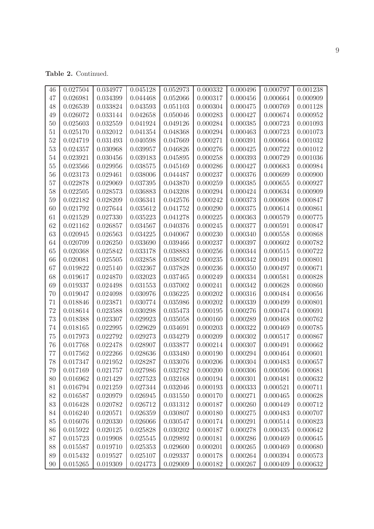Table 2. Continued.

| 46     | 0.027504 | 0.034977 | 0.045128       | 0.052973 | 0.000332 | 0.000496 | 0.000797 | 0.001238 |
|--------|----------|----------|----------------|----------|----------|----------|----------|----------|
| 47     | 0.026981 | 0.034399 | 0.044468       | 0.052066 | 0.000317 | 0.000456 | 0.000664 | 0.000909 |
| 48     | 0.026539 | 0.033824 | 0.043593       | 0.051103 | 0.000304 | 0.000475 | 0.000769 | 0.001128 |
| 49     | 0.026072 | 0.033144 | 0.042658       | 0.050046 | 0.000283 | 0.000427 | 0.000674 | 0.000952 |
| 50     | 0.025603 | 0.032559 | 0.041924       | 0.049126 | 0.000284 | 0.000385 | 0.000723 | 0.001093 |
| 51     | 0.025170 | 0.032012 | 0.041354       | 0.048368 | 0.000294 | 0.000463 | 0.000723 | 0.001073 |
| 52     | 0.024719 | 0.031493 | 0.040598       | 0.047669 | 0.000271 | 0.000391 | 0.000664 | 0.001032 |
| 53     | 0.024357 | 0.030968 | 0.039957       | 0.046826 | 0.000276 | 0.000425 | 0.000722 | 0.001012 |
| 54     | 0.023921 | 0.030456 | 0.039183       | 0.045895 | 0.000258 | 0.000393 | 0.000729 | 0.001036 |
| $55\,$ | 0.023566 | 0.029956 | 0.038575       | 0.045169 | 0.000286 | 0.000427 | 0.000683 | 0.000984 |
| 56     | 0.023173 | 0.029461 | 0.038006       | 0.044487 | 0.000237 | 0.000376 | 0.000699 | 0.000900 |
| 57     | 0.022878 | 0.029069 | 0.037395       | 0.043870 | 0.000259 | 0.000385 | 0.000655 | 0.000927 |
| 58     | 0.022505 | 0.028573 | 0.036883       | 0.043208 | 0.000294 | 0.000424 | 0.000634 | 0.000909 |
| 59     | 0.022182 | 0.028209 | 0.036341       | 0.042576 | 0.000242 | 0.000373 | 0.000608 | 0.000847 |
| 60     | 0.021792 | 0.027644 | 0.035612       | 0.041752 | 0.000290 | 0.000375 | 0.000614 | 0.000861 |
| 61     | 0.021529 | 0.027330 | 0.035223       | 0.041278 | 0.000225 | 0.000363 | 0.000579 | 0.000775 |
| 62     | 0.021162 | 0.026857 | 0.034567       | 0.040376 | 0.000245 | 0.000377 | 0.000591 | 0.000847 |
| 63     | 0.020945 | 0.026563 | 0.034225       | 0.040067 | 0.000230 | 0.000340 | 0.000558 | 0.000868 |
| 64     | 0.020709 | 0.026250 | 0.033690       | 0.039466 | 0.000237 | 0.000397 | 0.000602 | 0.000782 |
| 65     | 0.020368 | 0.025842 | 0.033178       | 0.038883 | 0.000256 | 0.000344 | 0.000515 | 0.000722 |
| 66     | 0.020081 | 0.025505 | 0.032858       | 0.038502 | 0.000235 | 0.000342 | 0.000491 | 0.000801 |
| 67     | 0.019822 | 0.025140 | 0.032367       | 0.037828 | 0.000236 | 0.000350 | 0.000497 | 0.000671 |
| 68     | 0.019617 | 0.024870 | 0.032023       | 0.037465 | 0.000249 | 0.000334 | 0.000581 | 0.000828 |
| 69     | 0.019337 | 0.024498 | 0.031553       | 0.037002 | 0.000241 | 0.000342 | 0.000628 | 0.000860 |
| 70     | 0.019047 | 0.024098 | 0.030976       | 0.036225 | 0.000202 | 0.000316 | 0.000484 | 0.000656 |
| 71     | 0.018846 | 0.023871 | 0.030774       | 0.035986 | 0.000202 | 0.000339 | 0.000499 | 0.000801 |
| 72     | 0.018614 | 0.023588 | 0.030298       | 0.035473 | 0.000195 | 0.000276 | 0.000474 | 0.000691 |
| 73     | 0.018388 | 0.023307 | 0.029923       | 0.035058 | 0.000160 | 0.000289 | 0.000468 | 0.000762 |
| 74     | 0.018165 | 0.022995 | 0.029629       | 0.034691 | 0.000203 | 0.000322 | 0.000469 | 0.000785 |
| 75     | 0.017973 | 0.022792 | 0.029273       | 0.034279 | 0.000209 | 0.000302 | 0.000517 | 0.000867 |
| 76     | 0.017768 | 0.022478 | 0.028907       | 0.033877 | 0.000214 | 0.000307 | 0.000491 | 0.000662 |
| 77     | 0.017562 | 0.022266 | 0.028636       | 0.033480 | 0.000190 | 0.000294 | 0.000464 | 0.000601 |
| 78     | 0.017347 | 0.021952 | 0.028287       | 0.033076 | 0.000206 | 0.000304 | 0.000483 | 0.000657 |
| 79     | 0.017169 | 0.021757 | 0.027986       | 0.032782 | 0.000200 | 0.000306 | 0.000506 | 0.000681 |
| 80     | 0.016962 | 0.021429 | 0.027523       | 0.032168 | 0.000194 | 0.000301 | 0.000481 | 0.000632 |
| 81     | 0.016794 | 0.021259 | 0.027344       | 0.032046 | 0.000193 | 0.000333 | 0.000521 | 0.000711 |
| 82     | 0.016587 | 0.020979 | 0.026945       | 0.031550 | 0.000170 | 0.000271 | 0.000465 | 0.000628 |
| 83     | 0.016428 | 0.020782 | 0.026712       | 0.031312 | 0.000187 | 0.000260 | 0.000449 | 0.000712 |
| 84     | 0.016240 | 0.020571 | 0.026359       | 0.030807 | 0.000180 | 0.000275 | 0.000483 | 0.000707 |
| 85     | 0.016076 | 0.020330 | 0.026066       | 0.030547 | 0.000174 | 0.000291 | 0.000514 | 0.000823 |
| 86     | 0.015922 | 0.020125 | 0.025828       | 0.030202 | 0.000187 | 0.000278 | 0.000435 | 0.000642 |
| 87     | 0.015723 | 0.019908 | 0.025545       | 0.029892 | 0.000181 | 0.000286 | 0.000469 | 0.000645 |
| 88     | 0.015587 | 0.019710 | $\,0.025353\,$ | 0.029600 | 0.000201 | 0.000265 | 0.000469 | 0.000680 |
| 89     | 0.015432 | 0.019527 | 0.025107       | 0.029337 | 0.000178 | 0.000264 | 0.000394 | 0.000573 |
| 90     | 0.015265 | 0.019309 | 0.024773       | 0.029009 | 0.000182 | 0.000267 | 0.000409 | 0.000632 |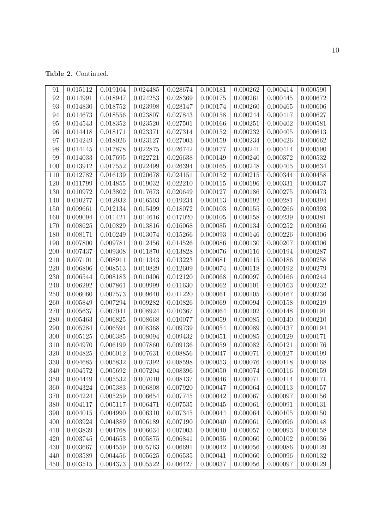Table 2. Continued.

| 91  | 0.015112 | 0.019104 | 0.024485 | 0.028674 | 0.000181 | 0.000262 | 0.000414 | 0.000590 |
|-----|----------|----------|----------|----------|----------|----------|----------|----------|
| 92  | 0.014991 | 0.018947 | 0.024253 | 0.028369 | 0.000175 | 0.000261 | 0.000445 | 0.000672 |
| 93  | 0.014830 | 0.018752 | 0.023998 | 0.028147 | 0.000174 | 0.000260 | 0.000465 | 0.000606 |
| 94  | 0.014673 | 0.018556 | 0.023807 | 0.027843 | 0.000158 | 0.000244 | 0.000417 | 0.000627 |
| 95  | 0.014543 | 0.018352 | 0.023520 | 0.027501 | 0.000166 | 0.000251 | 0.000402 | 0.000581 |
| 96  | 0.014418 | 0.018171 | 0.023371 | 0.027314 | 0.000152 | 0.000232 | 0.000405 | 0.000613 |
| 97  | 0.014249 | 0.018026 | 0.023127 | 0.027003 | 0.000159 | 0.000234 | 0.000426 | 0.000662 |
| 98  | 0.014145 | 0.017878 | 0.022875 | 0.026742 | 0.000177 | 0.000241 | 0.000414 | 0.000590 |
| 99  | 0.014033 | 0.017695 | 0.022721 | 0.026638 | 0.000149 | 0.000240 | 0.000372 | 0.000532 |
| 100 | 0.013912 | 0.017552 | 0.022499 | 0.026394 | 0.000165 | 0.000248 | 0.000405 | 0.000634 |
| 110 | 0.012782 | 0.016139 | 0.020678 | 0.024151 | 0.000152 | 0.000215 | 0.000344 | 0.000458 |
| 120 | 0.011799 | 0.014855 | 0.019032 | 0.022210 | 0.000115 | 0.000196 | 0.000331 | 0.000437 |
| 130 | 0.010972 | 0.013802 | 0.017673 | 0.020649 | 0.000127 | 0.000186 | 0.000275 | 0.000473 |
| 140 | 0.010277 | 0.012932 | 0.016503 | 0.019234 | 0.000113 | 0.000192 | 0.000281 | 0.000394 |
| 150 | 0.009661 | 0.012134 | 0.015499 | 0.018072 | 0.000103 | 0.000155 | 0.000266 | 0.000393 |
| 160 | 0.009094 | 0.011421 | 0.014616 | 0.017020 | 0.000105 | 0.000158 | 0.000239 | 0.000381 |
| 170 | 0.008625 | 0.010829 | 0.013816 | 0.016068 | 0.000085 | 0.000134 | 0.000252 | 0.000366 |
| 180 | 0.008171 | 0.010249 | 0.013074 | 0.015266 | 0.000093 | 0.000146 | 0.000226 | 0.000306 |
| 190 | 0.007800 | 0.009781 | 0.012456 | 0.014526 | 0.000086 | 0.000130 | 0.000207 | 0.000306 |
| 200 | 0.007437 | 0.009308 | 0.011870 | 0.013828 | 0.000076 | 0.000116 | 0.000194 | 0.000287 |
| 210 | 0.007101 | 0.008911 | 0.011343 | 0.013223 | 0.000081 | 0.000115 | 0.000186 | 0.000258 |
| 220 | 0.006806 | 0.008513 | 0.010829 | 0.012609 | 0.000074 | 0.000118 | 0.000192 | 0.000279 |
| 230 | 0.006544 | 0.008183 | 0.010406 | 0.012120 | 0.000068 | 0.000097 | 0.000166 | 0.000244 |
| 240 | 0.006292 | 0.007861 | 0.009999 | 0.011630 | 0.000062 | 0.000101 | 0.000163 | 0.000232 |
| 250 | 0.006060 | 0.007573 | 0.009640 | 0.011220 | 0.000061 | 0.000105 | 0.000167 | 0.000236 |
| 260 | 0.005849 | 0.007294 | 0.009282 | 0.010826 | 0.000069 | 0.000094 | 0.000158 | 0.000219 |
| 270 | 0.005637 | 0.007041 | 0.008924 | 0.010367 | 0.000064 | 0.000102 | 0.000148 | 0.000191 |
| 280 | 0.005463 | 0.006825 | 0.008668 | 0.010077 | 0.000059 | 0.000085 | 0.000140 | 0.000210 |
| 290 | 0.005284 | 0.006594 | 0.008368 | 0.009739 | 0.000054 | 0.000089 | 0.000137 | 0.000194 |
| 300 | 0.005125 | 0.006385 | 0.008094 | 0.009432 | 0.000051 | 0.000085 | 0.000129 | 0.000171 |
| 310 | 0.004970 | 0.006199 | 0.007860 | 0.009136 | 0.000059 | 0.000082 | 0.000121 | 0.000176 |
| 320 | 0.004825 | 0.006012 | 0.007631 | 0.008856 | 0.000047 | 0.000071 | 0.000127 | 0.000199 |
| 330 | 0.004685 | 0.005832 | 0.007392 | 0.008598 | 0.000053 | 0.000076 | 0.000118 | 0.000168 |
| 340 | 0.004572 | 0.005692 | 0.007204 | 0.008396 | 0.000050 | 0.000074 | 0.000116 | 0.000159 |
| 350 | 0.004449 | 0.005532 | 0.007010 | 0.008137 | 0.000046 | 0.000071 | 0.000114 | 0.000171 |
| 360 | 0.004324 | 0.005383 | 0.006808 | 0.007920 | 0.000047 | 0.000064 | 0.000113 | 0.000157 |
| 370 | 0.004224 | 0.005259 | 0.006654 | 0.007745 | 0.000042 | 0.000067 | 0.000097 | 0.000156 |
| 380 | 0.004117 | 0.005117 | 0.006471 | 0.007535 | 0.000045 | 0.000061 | 0.000091 | 0.000131 |
| 390 | 0.004015 | 0.004990 | 0.006310 | 0.007345 | 0.000044 | 0.000064 | 0.000105 | 0.000150 |
| 400 | 0.003924 | 0.004889 | 0.006189 | 0.007190 | 0.000040 | 0.000061 | 0.000096 | 0.000148 |
| 410 | 0.003839 | 0.004768 | 0.006034 | 0.007003 | 0.000040 | 0.000057 | 0.000093 | 0.000158 |
| 420 | 0.003745 | 0.004653 | 0.005875 | 0.006841 | 0.000035 | 0.000060 | 0.000102 | 0.000136 |
| 430 | 0.003667 | 0.004559 | 0.005763 | 0.006691 | 0.000042 | 0.000056 | 0.000086 | 0.000129 |
| 440 | 0.003589 | 0.004456 | 0.005625 | 0.006535 | 0.000041 | 0.000060 | 0.000096 | 0.000132 |
| 450 | 0.003515 | 0.004373 | 0.005522 | 0.006427 | 0.000037 | 0.000056 | 0.000097 | 0.000129 |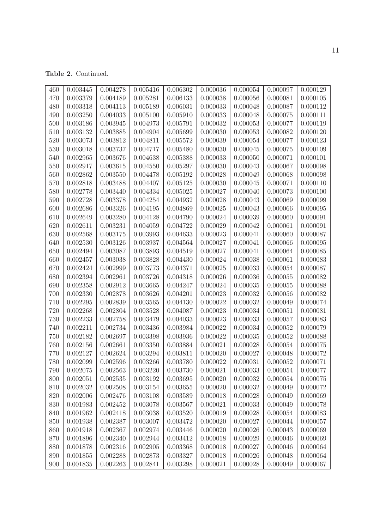Table 2. Continued.

| 460 | 0.003445 | 0.004278 | 0.005416 | 0.006302 | 0.000036 | 0.000054 | 0.000097 | 0.000129 |
|-----|----------|----------|----------|----------|----------|----------|----------|----------|
| 470 | 0.003379 | 0.004189 | 0.005281 | 0.006133 | 0.000038 | 0.000056 | 0.000081 | 0.000105 |
| 480 | 0.003318 | 0.004113 | 0.005189 | 0.006031 | 0.000033 | 0.000048 | 0.000087 | 0.000112 |
| 490 | 0.003250 | 0.004033 | 0.005100 | 0.005910 | 0.000033 | 0.000048 | 0.000075 | 0.000111 |
| 500 | 0.003186 | 0.003945 | 0.004973 | 0.005791 | 0.000032 | 0.000053 | 0.000077 | 0.000119 |
| 510 | 0.003132 | 0.003885 | 0.004904 | 0.005699 | 0.000030 | 0.000053 | 0.000082 | 0.000120 |
| 520 | 0.003073 | 0.003812 | 0.004811 | 0.005572 | 0.000039 | 0.000054 | 0.000077 | 0.000123 |
| 530 | 0.003018 | 0.003737 | 0.004717 | 0.005480 | 0.000030 | 0.000045 | 0.000075 | 0.000109 |
| 540 | 0.002965 | 0.003676 | 0.004638 | 0.005388 | 0.000033 | 0.000050 | 0.000071 | 0.000101 |
| 550 | 0.002917 | 0.003615 | 0.004550 | 0.005297 | 0.000030 | 0.000043 | 0.000067 | 0.000098 |
| 560 | 0.002862 | 0.003550 | 0.004478 | 0.005192 | 0.000028 | 0.000049 | 0.000068 | 0.000098 |
| 570 | 0.002818 | 0.003488 | 0.004407 | 0.005125 | 0.000030 | 0.000045 | 0.000071 | 0.000110 |
| 580 | 0.002778 | 0.003440 | 0.004334 | 0.005025 | 0.000027 | 0.000040 | 0.000073 | 0.000100 |
| 590 | 0.002728 | 0.003378 | 0.004254 | 0.004932 | 0.000028 | 0.000043 | 0.000069 | 0.000099 |
| 600 | 0.002686 | 0.003326 | 0.004195 | 0.004869 | 0.000025 | 0.000043 | 0.000066 | 0.000095 |
| 610 | 0.002649 | 0.003280 | 0.004128 | 0.004790 | 0.000024 | 0.000039 | 0.000060 | 0.000091 |
| 620 | 0.002611 | 0.003231 | 0.004059 | 0.004722 | 0.000029 | 0.000042 | 0.000061 | 0.000091 |
| 630 | 0.002568 | 0.003175 | 0.003993 | 0.004633 | 0.000023 | 0.000041 | 0.000060 | 0.000087 |
| 640 | 0.002530 | 0.003126 | 0.003937 | 0.004564 | 0.000027 | 0.000041 | 0.000066 | 0.000095 |
| 650 | 0.002494 | 0.003087 | 0.003893 | 0.004519 | 0.000027 | 0.000041 | 0.000064 | 0.000085 |
| 660 | 0.002457 | 0.003038 | 0.003828 | 0.004430 | 0.000024 | 0.000038 | 0.000061 | 0.000083 |
| 670 | 0.002424 | 0.002999 | 0.003773 | 0.004371 | 0.000025 | 0.000033 | 0.000054 | 0.000087 |
| 680 | 0.002394 | 0.002961 | 0.003726 | 0.004318 | 0.000026 | 0.000036 | 0.000055 | 0.000082 |
| 690 | 0.002358 | 0.002912 | 0.003665 | 0.004247 | 0.000024 | 0.000035 | 0.000055 | 0.000088 |
| 700 | 0.002330 | 0.002878 | 0.003626 | 0.004201 | 0.000023 | 0.000032 | 0.000056 | 0.000082 |
| 710 | 0.002295 | 0.002839 | 0.003565 | 0.004130 | 0.000022 | 0.000032 | 0.000049 | 0.000074 |
| 720 | 0.002268 | 0.002804 | 0.003528 | 0.004087 | 0.000023 | 0.000034 | 0.000051 | 0.000081 |
| 730 | 0.002233 | 0.002758 | 0.003479 | 0.004033 | 0.000023 | 0.000033 | 0.000057 | 0.000083 |
| 740 | 0.002211 | 0.002734 | 0.003436 | 0.003984 | 0.000022 | 0.000034 | 0.000052 | 0.000079 |
| 750 | 0.002182 | 0.002697 | 0.003398 | 0.003936 | 0.000022 | 0.000035 | 0.000052 | 0.000088 |
| 760 | 0.002156 | 0.002661 | 0.003350 | 0.003884 | 0.000021 | 0.000028 | 0.000054 | 0.000075 |
| 770 | 0.002127 | 0.002624 | 0.003294 | 0.003811 | 0.000020 | 0.000027 | 0.000048 | 0.000072 |
| 780 | 0.002099 | 0.002596 | 0.003266 | 0.003780 | 0.000022 | 0.000031 | 0.000052 | 0.000071 |
| 790 | 0.002075 | 0.002563 | 0.003220 | 0.003730 | 0.000021 | 0.000033 | 0.000054 | 0.000077 |
| 800 | 0.002051 | 0.002535 | 0.003192 | 0.003695 | 0.000020 | 0.000032 | 0.000054 | 0.000075 |
| 810 | 0.002032 | 0.002508 | 0.003154 | 0.003655 | 0.000020 | 0.000032 | 0.000049 | 0.000072 |
| 820 | 0.002006 | 0.002476 | 0.003108 | 0.003589 | 0.000018 | 0.000028 | 0.000049 | 0.000069 |
| 830 | 0.001983 | 0.002452 | 0.003078 | 0.003567 | 0.000021 | 0.000033 | 0.000049 | 0.000078 |
| 840 | 0.001962 | 0.002418 | 0.003038 | 0.003520 | 0.000019 | 0.000028 | 0.000054 | 0.000083 |
| 850 | 0.001938 | 0.002387 | 0.003007 | 0.003472 | 0.000020 | 0.000027 | 0.000044 | 0.000057 |
| 860 | 0.001918 | 0.002367 | 0.002974 | 0.003446 | 0.000020 | 0.000026 | 0.000043 | 0.000069 |
| 870 | 0.001896 | 0.002340 | 0.002944 | 0.003412 | 0.000018 | 0.000029 | 0.000046 | 0.000069 |
| 880 | 0.001878 | 0.002316 | 0.002905 | 0.003368 | 0.000018 | 0.000027 | 0.000046 | 0.000064 |
| 890 | 0.001855 | 0.002288 | 0.002873 | 0.003327 | 0.000018 | 0.000026 | 0.000048 | 0.000064 |
| 900 | 0.001835 | 0.002263 | 0.002841 | 0.003298 | 0.000021 | 0.000028 | 0.000049 | 0.000067 |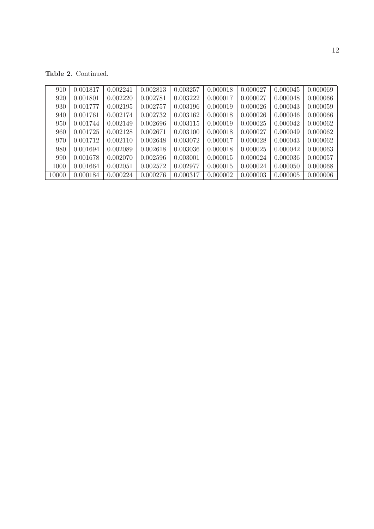Table 2. Continued.

| 910   | 0.001817 | 0.002241 | 0.002813 | 0.003257 | 0.000018 | 0.000027 | 0.000045 | 0.000069 |
|-------|----------|----------|----------|----------|----------|----------|----------|----------|
| 920   | 0.001801 | 0.002220 | 0.002781 | 0.003222 | 0.000017 | 0.000027 | 0.000048 | 0.000066 |
| 930   | 0.001777 | 0.002195 | 0.002757 | 0.003196 | 0.000019 | 0.000026 | 0.000043 | 0.000059 |
| 940   | 0.001761 | 0.002174 | 0.002732 | 0.003162 | 0.000018 | 0.000026 | 0.000046 | 0.000066 |
| 950   | 0.001744 | 0.002149 | 0.002696 | 0.003115 | 0.000019 | 0.000025 | 0.000042 | 0.000062 |
| 960   | 0.001725 | 0.002128 | 0.002671 | 0.003100 | 0.000018 | 0.000027 | 0.000049 | 0.000062 |
| 970   | 0.001712 | 0.002110 | 0.002648 | 0.003072 | 0.000017 | 0.000028 | 0.000043 | 0.000062 |
| 980   | 0.001694 | 0.002089 | 0.002618 | 0.003036 | 0.000018 | 0.000025 | 0.000042 | 0.000063 |
| 990   | 0.001678 | 0.002070 | 0.002596 | 0.003001 | 0.000015 | 0.000024 | 0.000036 | 0.000057 |
| 1000  | 0.001664 | 0.002051 | 0.002572 | 0.002977 | 0.000015 | 0.000024 | 0.000050 | 0.000068 |
| 10000 | 0.000184 | 0.000224 | 0.000276 | 0.000317 | 0.000002 | 0.000003 | 0.000005 | 0.000006 |